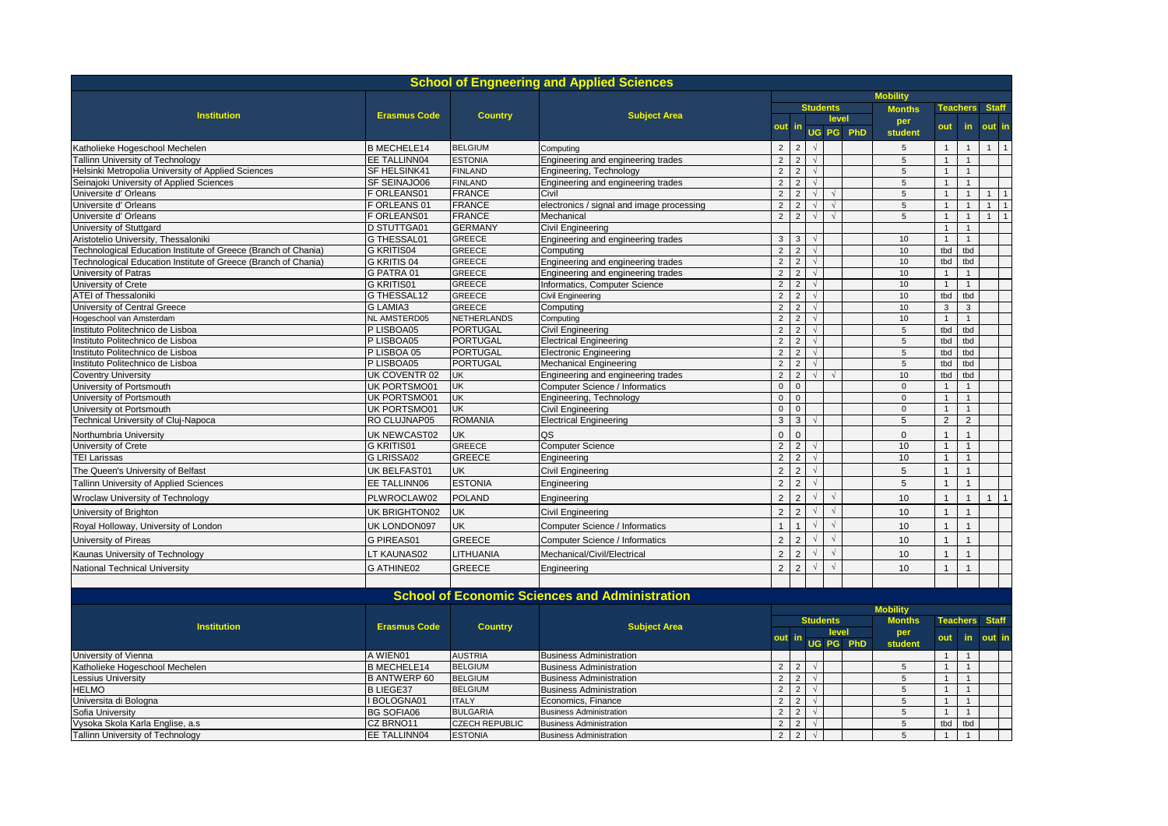|                                                                       |                                |                                | <b>School of Engneering and Applied Sciences</b>               |                                  |                                  |                          |                 |           |                       |                     |                     |              |                |
|-----------------------------------------------------------------------|--------------------------------|--------------------------------|----------------------------------------------------------------|----------------------------------|----------------------------------|--------------------------|-----------------|-----------|-----------------------|---------------------|---------------------|--------------|----------------|
|                                                                       |                                |                                |                                                                |                                  |                                  |                          |                 |           | <b>Mobility</b>       |                     |                     |              |                |
| <b>Institution</b>                                                    | <b>Erasmus Code</b>            | <b>Country</b>                 | <b>Subject Area</b>                                            |                                  |                                  |                          | <b>Students</b> |           | <b>Months</b>         |                     | <b>Teachers</b>     | <b>Staff</b> |                |
|                                                                       |                                |                                |                                                                | out                              | -in                              |                          | level           |           | per                   | out                 | in.                 | out in       |                |
|                                                                       |                                |                                |                                                                |                                  |                                  |                          |                 | UG PG PhD | student               |                     |                     |              |                |
| Katholieke Hogeschool Mechelen                                        | <b>B MECHELE14</b>             | <b>BELGIUM</b>                 | Computing                                                      | $\overline{2}$                   | $\overline{2}$                   |                          |                 |           | 5                     | $\overline{1}$      | $\mathbf{1}$        | $\mathbf{1}$ | $\overline{1}$ |
| <b>Fallinn University of Technology</b>                               | EE TALLINN04                   | <b>ESTONIA</b>                 | Engineering and engineering trades                             | $\overline{2}$                   | $\overline{2}$                   | $\sqrt{ }$               |                 |           | $\,$ 5                | $\mathbf{1}$        | $\mathbf{1}$        |              |                |
| Helsinki Metropolia University of Applied Sciences                    | SF HELSINK41                   | <b>FINLAND</b>                 | Engineering, Technology                                        | $\overline{2}$                   | $\overline{2}$                   | $\sqrt{ }$               |                 |           | $\sqrt{5}$            | $\overline{1}$      | $\mathbf{1}$        |              |                |
| Seinajoki University of Applied Sciences                              | SF SEINAJO06                   | <b>FINLAND</b>                 | Engineering and engineering trades                             | $\overline{2}$                   | 2                                | $\sqrt{ }$               |                 |           | $\sqrt{5}$            | $\overline{1}$      | $\mathbf{1}$        |              |                |
| Universite d' Orleans                                                 | F ORLEANS01                    | <b>FRANCE</b>                  | Civil                                                          | $\overline{2}$                   | $\overline{2}$                   | $\sqrt{ }$               | $\sqrt{ }$      |           | 5                     | $\mathbf{1}$        | $\mathbf{1}$        | $\mathbf{1}$ | $\overline{1}$ |
| Universite d' Orleans                                                 | F ORLEANS 01                   | <b>FRANCE</b>                  | electronics / signal and image processing                      | $\overline{2}$                   | $\overline{2}$                   |                          |                 |           | $\overline{5}$        | $\overline{1}$      | $\mathbf{1}$        | 1            | $\overline{1}$ |
| Universite d' Orleans                                                 | F ORLEANS01                    | <b>FRANCE</b>                  | Mechanical                                                     | $\overline{2}$                   | $\overline{2}$                   | $\sqrt{ }$               | $\sqrt{ }$      |           | $\sqrt{5}$            | $\overline{1}$      | $\mathbf{1}$        | 1            | $\overline{1}$ |
| University of Stuttgard                                               | <b>D STUTTGA01</b>             | <b>GERMANY</b>                 | Civil Engineering                                              |                                  |                                  |                          |                 |           |                       | $\mathbf{1}$        | $\mathbf{1}$        |              |                |
| Aristotelio University, Thessaloniki                                  | G THESSAL01                    | <b>GREECE</b>                  | Engineering and engineering trades                             | 3                                | 3                                |                          |                 |           | 10                    | $\mathbf{1}$        | $\mathbf{1}$        |              |                |
| Fechnological Education Institute of Greece (Branch of Chania)        | <b>G KRITIS04</b>              | <b>GREECE</b>                  | Computing                                                      | $\overline{2}$                   | 2                                | $\sqrt{ }$               |                 |           | 10                    | tbd                 | tbd                 |              |                |
| <b>Technological Education Institute of Greece (Branch of Chania)</b> | G KRITIS 04                    | <b>GREECE</b>                  | Engineering and engineering trades                             | $\overline{2}$                   | $\overline{2}$                   | $\sqrt{ }$               |                 |           | 10                    | tbd                 | tbd                 |              |                |
| University of Patras                                                  | G PATRA 01                     | <b>GREECE</b>                  | Engineering and engineering trades                             | $\overline{2}$                   | $\overline{2}$                   | $\sqrt{ }$               |                 |           | 10                    | $\overline{1}$      | $\mathbf{1}$        |              |                |
| University of Crete                                                   | G KRITIS01                     | <b>GREECE</b><br><b>GREECE</b> | Informatics, Computer Science                                  | $\overline{2}$                   | $\overline{2}$<br>2              | $\sqrt{ }$<br>$\sqrt{ }$ |                 |           | 10<br>10              | $\mathbf{1}$        | $\mathbf{1}$<br>tbd |              |                |
| <b>ATEI of Thessaloniki</b>                                           | G THESSAL12<br><b>G LAMIA3</b> | <b>GREECE</b>                  | Civil Engineering                                              | $\overline{2}$<br>$\overline{2}$ | $\overline{2}$                   | $\sqrt{ }$               |                 |           | 10                    | tbd<br>$\mathbf{3}$ | $\mathbf{3}$        |              |                |
| University of Central Greece                                          | NL AMSTERD05                   | <b>NETHERLANDS</b>             | Computing                                                      |                                  | $\overline{2}$                   | $\sqrt{ }$               |                 |           | 10                    | $\overline{1}$      | $\overline{1}$      |              |                |
| logeschool van Amsterdam                                              | P LISBOA05                     | <b>PORTUGAL</b>                | Computing                                                      | $\overline{2}$<br>$\overline{2}$ | $\overline{2}$                   | $\sqrt{ }$               |                 |           | 5                     | tbd                 | tbd                 |              |                |
| nstituto Politechnico de Lisboa                                       | P LISBOA05                     | <b>PORTUGAL</b>                | Civil Engineering                                              |                                  |                                  |                          |                 |           |                       |                     | tbd                 |              |                |
| nstituto Politechnico de Lisboa<br>nstituto Politechnico de Lisboa    | P LISBOA 05                    | <b>PORTUGAL</b>                | <b>Electrical Engineering</b><br><b>Electronic Engineering</b> | $\overline{2}$<br>$\overline{2}$ | $\overline{2}$<br>$\overline{2}$ | $\sqrt{ }$               |                 |           | $\,$ 5 $\,$<br>$\,$ 5 | tbd<br>tbd          | tbd                 |              |                |
| nstituto Politechnico de Lisboa                                       | P LISBOA05                     | <b>PORTUGAL</b>                | <b>Mechanical Engineering</b>                                  | $\overline{2}$                   | $\overline{2}$                   |                          |                 |           | 5                     | tbd                 | tbd                 |              |                |
| Coventry University                                                   | UK COVENTR 02                  | UK                             | Engineering and engineering trades                             | $\overline{2}$                   | $\overline{2}$                   |                          |                 |           | 10                    | tbd                 | tbd                 |              |                |
| University of Portsmouth                                              | UK PORTSMO01                   | UK                             | Computer Science / Informatics                                 | $\mathbf 0$                      | $\mathsf 0$                      |                          |                 |           | $\mathbf 0$           | $\overline{1}$      | $\mathbf{1}$        |              |                |
| University of Portsmouth                                              | <b>UK PORTSMO01</b>            | UK                             | Engineering, Technology                                        | $\overline{0}$                   | $\overline{0}$                   |                          |                 |           | $\overline{0}$        | $\overline{1}$      | $\mathbf{1}$        |              |                |
| University ot Portsmouth                                              | UK PORTSMO01                   | UK                             | Civil Engineering                                              | $\mathbf 0$                      | $\mathbf 0$                      |                          |                 |           | $\mathbf 0$           | $\overline{1}$      | $\mathbf{1}$        |              |                |
| <b>Fechnical University of Cluj-Napoca</b>                            | RO CLUJNAP05                   | <b>ROMANIA</b>                 | <b>Electrical Engineering</b>                                  | $\mathbf{3}$                     | $\mathbf{3}$                     |                          |                 |           | $\sqrt{5}$            | $\overline{2}$      | 2                   |              |                |
|                                                                       | UK NEWCAST02                   | UK                             | QS                                                             | $\mathbf{0}$                     | $\Omega$                         |                          |                 |           | $\mathbf{0}$          | $\overline{1}$      |                     |              |                |
| <b>Northumbria University</b>                                         | G KRITIS01                     | <b>GREECE</b>                  |                                                                | $\overline{2}$                   | $\overline{2}$                   |                          |                 |           | 10                    | $\overline{1}$      | $\mathbf{1}$        |              |                |
| Jniversity of Crete<br><b>TEI Larissas</b>                            | G LRISSA02                     | <b>GREECE</b>                  | <b>Computer Science</b>                                        | $\overline{2}$                   | $\overline{2}$                   | $\sqrt{ }$               |                 |           | 10                    | $\overline{1}$      | $\overline{1}$      |              |                |
|                                                                       |                                |                                | Engineering                                                    |                                  | $\overline{2}$                   |                          |                 |           |                       |                     | 1                   |              |                |
| The Queen's University of Belfast                                     | UK BELFAST01                   | UK                             | Civil Engineering                                              | $\overline{2}$                   |                                  |                          |                 |           | 5                     | $\overline{1}$      |                     |              |                |
| <b>Tallinn University of Applied Sciences</b>                         | EE TALLINN06                   | <b>ESTONIA</b>                 | Engineering                                                    | 2                                | $\overline{2}$                   |                          |                 |           | $\sqrt{5}$            | $\overline{1}$      |                     |              |                |
| Wroclaw University of Technology                                      | PLWROCLAW02                    | <b>POLAND</b>                  | Engineering                                                    | $\overline{2}$                   | $\overline{2}$                   |                          | $\sqrt{ }$      |           | 10                    | $\overline{1}$      | $\mathbf{1}$        | $\mathbf{1}$ | $\overline{1}$ |
| University of Brighton                                                | UK BRIGHTON02                  | <b>UK</b>                      | <b>Civil Engineering</b>                                       | $\overline{2}$                   | $\overline{2}$                   |                          | $\sqrt{ }$      |           | 10                    | $\overline{1}$      | $\mathbf{1}$        |              |                |
| Royal Holloway, University of London                                  | UK LONDON097                   | UK                             | Computer Science / Informatics                                 | $\mathbf{1}$                     |                                  |                          | $\sqrt{ }$      |           | 10                    | $\overline{1}$      | 1                   |              |                |
| University of Pireas                                                  | G PIREAS01                     | GREECE                         | Computer Science / Informatics                                 | $\overline{2}$                   | $\overline{2}$                   |                          | $\sqrt{ }$      |           | 10                    | $\overline{1}$      | $\mathbf{1}$        |              |                |
| Kaunas University of Technology                                       | LT KAUNAS02                    | LITHUANIA                      | Mechanical/Civil/Electrical                                    | $\overline{2}$                   | $\overline{2}$                   |                          | $\sqrt{ }$      |           | 10                    | $\overline{1}$      | $\overline{1}$      |              |                |
| National Technical University                                         | <b>G ATHINE02</b>              | <b>GREECE</b>                  | Engineering                                                    | $\overline{2}$                   | $\overline{2}$                   |                          | $\sqrt{ }$      |           | 10                    | $\overline{1}$      | $\mathbf{1}$        |              |                |
|                                                                       |                                |                                |                                                                |                                  |                                  |                          |                 |           |                       |                     |                     |              |                |
|                                                                       |                                |                                | <b>School of Economic Sciences and Administration</b>          |                                  |                                  |                          |                 |           |                       |                     |                     |              |                |
|                                                                       |                                |                                |                                                                |                                  |                                  |                          |                 |           | <b>Mobility</b>       |                     |                     |              |                |
|                                                                       |                                |                                |                                                                |                                  |                                  |                          | <b>Students</b> |           | <b>Months</b>         |                     | <b>Teachers</b>     | <b>Staff</b> |                |
| <b>Institution</b>                                                    | <b>Erasmus Code</b>            | <b>Country</b>                 | <b>Subject Area</b>                                            | level                            |                                  |                          | per             |           |                       |                     |                     |              |                |
|                                                                       |                                |                                |                                                                | out in                           |                                  |                          |                 | UG PG PhD | student               | out                 | in.                 | out in       |                |
| University of Vienna                                                  | A WIEN01                       | <b>AUSTRIA</b>                 | <b>Business Administration</b>                                 |                                  |                                  |                          |                 |           |                       | $\overline{1}$      | $\overline{1}$      |              |                |
| Katholieke Hogeschool Mechelen                                        | <b>B MECHELE14</b>             | <b>BELGIUM</b>                 | <b>Business Administration</b>                                 | $\overline{2}$                   | $\overline{2}$                   | $\sqrt{ }$               |                 |           | $\sqrt{5}$            | $\mathbf{1}$        | $\mathbf{1}$        |              |                |
| essius University                                                     | <b>B ANTWERP 60</b>            | <b>BELGIUM</b>                 | <b>Business Administration</b>                                 | $\overline{2}$                   | 2                                | $\sqrt{ }$               |                 |           | 5                     | $\overline{1}$      | $\overline{1}$      |              |                |
| <b>HELMO</b>                                                          | <b>B LIEGE37</b>               | <b>BELGIUM</b>                 | <b>Business Administration</b>                                 | $\overline{2}$                   | 2                                | $\sqrt{ }$               |                 |           | $\,$ 5                | $\mathbf{1}$        | $\mathbf{1}$        |              |                |
| Universita di Bologna                                                 | I BOLOGNA01                    | <b>ITALY</b>                   | Economics, Finance                                             | $\overline{2}$                   | 2                                | $\sqrt{ }$               |                 |           | 5                     | $\mathbf{1}$        | $\overline{1}$      |              |                |
| Sofia University                                                      | <b>BG SOFIA06</b>              | <b>BULGARIA</b>                | <b>Business Administration</b>                                 | $\overline{2}$                   | 2                                | $\sqrt{ }$               |                 |           | 5                     | $\mathbf{1}$        | $\mathbf{1}$        |              |                |
| Vysoka Skola Karla Englise, a.s                                       | CZ BRNO11                      | <b>CZECH REPUBLIC</b>          | <b>Business Administration</b>                                 | $\overline{2}$                   | $\overline{2}$                   | $\sqrt{ }$               |                 |           | 5                     | tbd                 | tbd                 |              |                |
| Tallinn University of Technology                                      | EE TALLINN04                   | <b>ESTONIA</b>                 | <b>Business Administration</b>                                 | $\overline{2}$                   | $\overline{2}$                   | $\sqrt{ }$               |                 |           | 5                     | $\overline{1}$      | $\mathbf{1}$        |              |                |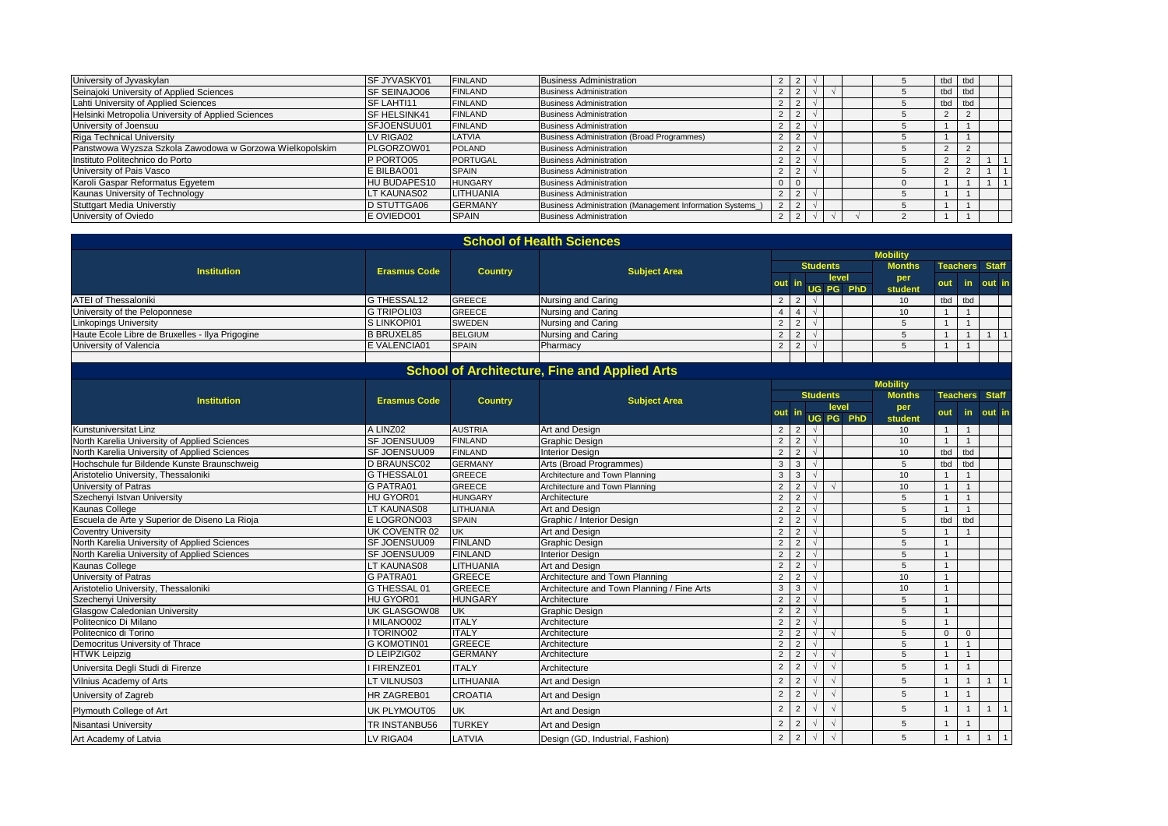| University of Jyvaskylan                                 | <b>ISF JYVASKY01</b> | <b>FINLAND</b>  | <b>Business Administration</b>                           |                |  |  | tbd tbd |               |  |
|----------------------------------------------------------|----------------------|-----------------|----------------------------------------------------------|----------------|--|--|---------|---------------|--|
| Seinajoki University of Applied Sciences                 | SF SEINAJO06         | <b>FINLAND</b>  | <b>Business Administration</b>                           |                |  |  | tbd     | tbd           |  |
| Lahti University of Applied Sciences                     | SF LAHTI11           | <b>FINLAND</b>  | <b>Business Administration</b>                           |                |  |  | tbd tbd |               |  |
| Helsinki Metropolia University of Applied Sciences       | <b>SF HELSINK41</b>  | <b>FINLAND</b>  | <b>Business Administration</b>                           | $\overline{2}$ |  |  |         |               |  |
| University of Joensuu                                    | SFJOENSUU01          | <b>FINLAND</b>  | <b>Business Administration</b>                           |                |  |  |         |               |  |
| <b>Riga Technical University</b>                         | V RIGA02             | LATVIA          | Business Administration (Broad Programmes)               | $\epsilon$     |  |  |         |               |  |
| Panstwowa Wyzsza Szkola Zawodowa w Gorzowa Wielkopolskim | PLGORZOW01           | <b>POLAND</b>   | <b>Business Administration</b>                           |                |  |  | ∠       | C.            |  |
| Instituto Politechnico do Porto                          | P PORTO05            | <b>PORTUGAL</b> | <b>Business Administration</b>                           |                |  |  |         | $\sim$        |  |
| University of Pais Vasco                                 | E BILBAO01           | <b>SPAIN</b>    | <b>Business Administration</b>                           |                |  |  |         | $\mathcal{P}$ |  |
| Karoli Gaspar Reformatus Eqyetem                         | HU BUDAPES10         | <b>HUNGARY</b>  | <b>Business Administration</b>                           |                |  |  |         |               |  |
| Kaunas University of Technology                          | T KAUNAS02           | LITHUANIA       | <b>Business Administration</b>                           |                |  |  |         |               |  |
| <b>Stuttgart Media Universtiy</b>                        | D STUTTGA06          | <b>GERMANY</b>  | Business Administration (Management Information Systems) |                |  |  |         |               |  |
| University of Oviedo                                     | E OVIEDO01           | <b>SPAIN</b>    | <b>Business Administration</b>                           | 2              |  |  |         |               |  |

|                                                 |                      |                | <b>School of Health Sciences</b> |            |  |                 |           |                 |                       |     |        |  |
|-------------------------------------------------|----------------------|----------------|----------------------------------|------------|--|-----------------|-----------|-----------------|-----------------------|-----|--------|--|
|                                                 |                      |                |                                  |            |  |                 |           | <b>Mobility</b> |                       |     |        |  |
| <b>Institution</b>                              | <b>Erasmus Code</b>  | <b>Country</b> | <b>Subject Area</b>              |            |  | <b>Students</b> |           | <b>Months</b>   | <b>Teachers</b> Staff |     |        |  |
|                                                 |                      |                |                                  | out        |  | level           |           | per             | out                   | in. | out in |  |
|                                                 |                      |                |                                  |            |  |                 | UG PG PhD | student         |                       |     |        |  |
| <b>ATEI of Thessaloniki</b>                     | G THESSAL12          | <b>GREECE</b>  | Nursing and Caring               |            |  |                 |           | 10 <sup>°</sup> | tbd                   | tbd |        |  |
| University of the Peloponnese                   | G TRIPOLI03          | <b>GREECE</b>  | Nursing and Caring               |            |  |                 |           | 10              |                       |     |        |  |
| <b>Linkopings University</b>                    | S LINKOPI01          | <b>SWEDEN</b>  | Nursing and Caring               |            |  |                 |           |                 |                       |     |        |  |
| Haute Ecole Libre de Bruxelles - Ilya Prigogine | <b>B BRUXEL85</b>    | <b>BELGIUM</b> | Nursing and Caring               | <u>_</u>   |  |                 |           |                 |                       |     |        |  |
| University of Valencia                          | <b>IE VALENCIA01</b> | <b>SPAIN</b>   | Pharmacy                         | $\epsilon$ |  |                 |           |                 |                       |     |        |  |
|                                                 |                      |                |                                  |            |  |                 |           |                 |                       |     |        |  |

| <b>School of Architecture, Fine and Applied Arts</b> |  |
|------------------------------------------------------|--|
|                                                      |  |

|                                               |                     |                |                                            | <b>Students</b> |                |            |            |     | <b>Mobility</b> |                |                 |              |
|-----------------------------------------------|---------------------|----------------|--------------------------------------------|-----------------|----------------|------------|------------|-----|-----------------|----------------|-----------------|--------------|
| <b>Institution</b>                            | <b>Erasmus Code</b> | <b>Country</b> | <b>Subject Area</b>                        |                 |                |            |            |     | <b>Months</b>   |                | <b>Teachers</b> | <b>Staff</b> |
|                                               |                     |                |                                            | out in          |                |            | level      |     | per             | out            | in.             | out in       |
|                                               |                     |                |                                            |                 |                |            | UG PG      | PhD | student         |                |                 |              |
| <b>Kunstuniversitat Linz</b>                  | A LINZ02            | <b>AUSTRIA</b> | Art and Design                             | $\overline{2}$  | $2^{\circ}$    | $\sqrt{ }$ |            |     | 10              | $\overline{1}$ |                 |              |
| North Karelia University of Applied Sciences  | SF JOENSUU09        | <b>FINLAND</b> | Graphic Design                             | $\overline{2}$  | 2              |            |            |     | 10              |                |                 |              |
| North Karelia University of Applied Sciences  | <b>SF JOENSUU09</b> | <b>FINLAND</b> | <b>Interior Design</b>                     | $\overline{2}$  | 2              | $\sqrt{2}$ |            |     | 10              | tbd            | tbd             |              |
| Hochschule fur Bildende Kunste Braunschweig   | <b>D BRAUNSC02</b>  | <b>GERMANY</b> | Arts (Broad Programmes)                    | $\overline{3}$  | 3 <sup>1</sup> |            |            |     | 5               | tbd            | tbd             |              |
| Aristotelio University, Thessaloniki          | G THESSAL01         | <b>GREECE</b>  | Architecture and Town Planning             | 3               | 3              |            |            |     | 10              |                |                 |              |
| University of Patras                          | <b>G PATRA01</b>    | <b>GREECE</b>  | Architecture and Town Planning             | $\overline{2}$  | $\overline{2}$ |            | $\Delta$   |     | 10              |                | $\overline{1}$  |              |
| Szechenyi Istvan University                   | HU GYOR01           | <b>HUNGARY</b> | Architecture                               | $\overline{2}$  | $\overline{2}$ | $\sqrt{2}$ |            |     | 5               |                |                 |              |
| Kaunas College                                | LT KAUNAS08         | LITHUANIA      | Art and Design                             | $\overline{2}$  | 2              |            |            |     | 5               |                |                 |              |
| Escuela de Arte y Superior de Diseno La Rioja | E LOGRONO03         | <b>SPAIN</b>   | Graphic / Interior Design                  | $\overline{2}$  | $\overline{2}$ |            |            |     | 5               | tbd            | tbd             |              |
| <b>Coventry University</b>                    | UK COVENTR 02       | <b>UK</b>      | Art and Design                             | $\overline{2}$  | 2              |            |            |     | 5               |                |                 |              |
| North Karelia University of Applied Sciences  | <b>SF JOENSUU09</b> | <b>FINLAND</b> | <b>Graphic Design</b>                      | $\overline{2}$  | 2              |            |            |     | 5               |                |                 |              |
| North Karelia University of Applied Sciences  | <b>SF JOENSUU09</b> | <b>FINLAND</b> | <b>Interior Design</b>                     | $\overline{2}$  | $\overline{2}$ |            |            |     | 5               |                |                 |              |
| Kaunas College                                | LT KAUNAS08         | LITHUANIA      | Art and Design                             | $\overline{2}$  | 2              |            |            |     | 5               |                |                 |              |
| University of Patras                          | <b>G PATRA01</b>    | <b>GREECE</b>  | Architecture and Town Planning             | $\overline{2}$  | $\overline{2}$ |            |            |     | 10              |                |                 |              |
| Aristotelio University, Thessaloniki          | G THESSAL 01        | <b>GREECE</b>  | Architecture and Town Planning / Fine Arts | $\mathbf{3}$    | 3              |            |            |     | 10              |                |                 |              |
| Szechenyi University                          | HU GYOR01           | <b>HUNGARY</b> | Architecture                               | $\overline{2}$  | $\overline{2}$ |            |            |     | 5               |                |                 |              |
| <b>Glasgow Caledonian University</b>          | UK GLASGOW08        | <b>UK</b>      | <b>Graphic Design</b>                      | $\overline{2}$  | 2              |            |            |     | 5               |                |                 |              |
| Politecnico Di Milano                         | I MILANO002         | <b>ITALY</b>   | Architecture                               | $\overline{2}$  | $\overline{2}$ |            |            |     | 5               |                |                 |              |
| Politecnico di Torino                         | <b>I TORINO02</b>   | <b>ITALY</b>   | Architecture                               | $\overline{2}$  | 2              | $\sqrt{ }$ | $\sqrt{ }$ |     | 5               | $\Omega$       | $\mathbf{0}$    |              |
| Democritus University of Thrace               | <b>G KOMOTIN01</b>  | <b>GREECE</b>  | Architecture                               | $\overline{2}$  | 2              |            |            |     | 5               |                |                 |              |
| <b>HTWK Leipzig</b>                           | D LEIPZIG02         | <b>GERMANY</b> | Architecture                               | $\overline{2}$  | $\mathfrak{D}$ |            | $\lambda$  |     | 5               |                |                 |              |
| Universita Degli Studi di Firenze             | FIRENZE01           | <b>ITALY</b>   | Architecture                               | $\overline{2}$  | $\overline{2}$ |            |            |     | 5               |                |                 |              |
| Vilnius Academy of Arts                       | LT VILNUS03         | LITHUANIA      | Art and Design                             | $\overline{2}$  | $\mathcal{P}$  |            |            |     | 5               |                |                 |              |
| University of Zagreb                          | <b>HR ZAGREB01</b>  | <b>CROATIA</b> | Art and Design                             | $\overline{2}$  | 2              |            |            |     | 5               | $\overline{1}$ |                 |              |
| Plymouth College of Art                       | <b>UK PLYMOUT05</b> | <b>UK</b>      | Art and Design                             | $\overline{2}$  | 2              |            | $\sqrt{2}$ |     | 5               |                |                 | $\mathbf{1}$ |
| Nisantasi University                          | TR INSTANBU56       | <b>TURKEY</b>  | Art and Design                             | $\overline{2}$  | 2              |            | $\sqrt{2}$ |     | 5               |                |                 |              |
| Art Academy of Latvia                         | LV RIGA04           | LATVIA         | Design (GD, Industrial, Fashion)           | $\overline{2}$  | $\overline{2}$ | $\sqrt{2}$ | $\sqrt{2}$ |     | 5               |                |                 |              |